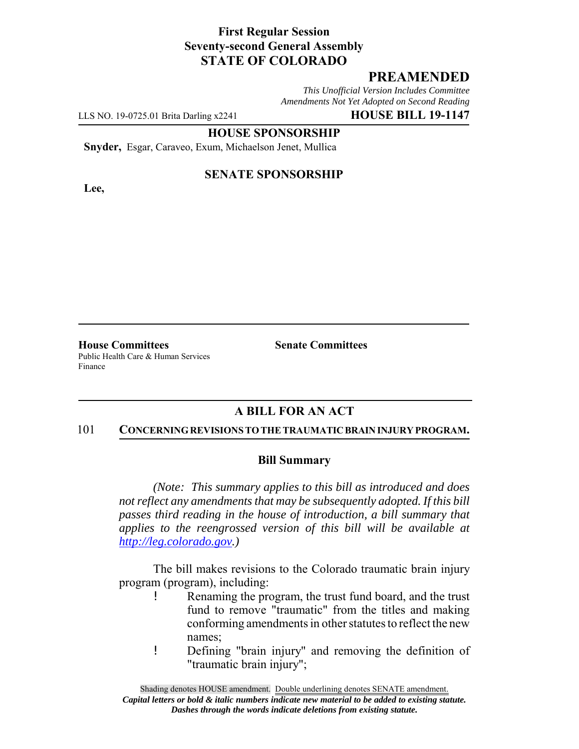## **First Regular Session Seventy-second General Assembly STATE OF COLORADO**

# **PREAMENDED**

*This Unofficial Version Includes Committee Amendments Not Yet Adopted on Second Reading*

LLS NO. 19-0725.01 Brita Darling x2241 **HOUSE BILL 19-1147**

#### **HOUSE SPONSORSHIP**

**Snyder,** Esgar, Caraveo, Exum, Michaelson Jenet, Mullica

**Lee,**

#### **SENATE SPONSORSHIP**

**House Committees Senate Committees** Public Health Care & Human Services Finance

### **A BILL FOR AN ACT**

#### 101 **CONCERNING REVISIONS TO THE TRAUMATIC BRAIN INJURY PROGRAM.**

#### **Bill Summary**

*(Note: This summary applies to this bill as introduced and does not reflect any amendments that may be subsequently adopted. If this bill passes third reading in the house of introduction, a bill summary that applies to the reengrossed version of this bill will be available at http://leg.colorado.gov.)*

The bill makes revisions to the Colorado traumatic brain injury program (program), including:

- ! Renaming the program, the trust fund board, and the trust fund to remove "traumatic" from the titles and making conforming amendments in other statutes to reflect the new names;
- ! Defining "brain injury" and removing the definition of "traumatic brain injury";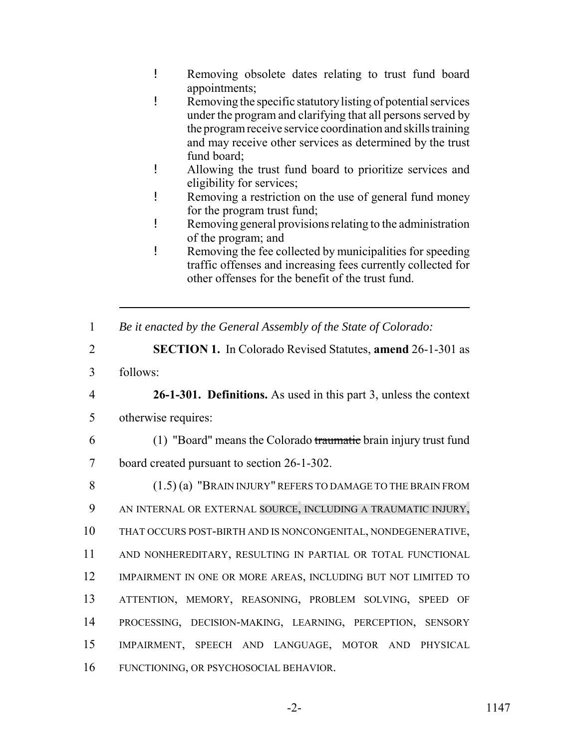- ! Removing obsolete dates relating to trust fund board appointments;
- ! Removing the specific statutory listing of potential services under the program and clarifying that all persons served by the program receive service coordination and skills training and may receive other services as determined by the trust fund board;
- ! Allowing the trust fund board to prioritize services and eligibility for services;
- ! Removing a restriction on the use of general fund money for the program trust fund;
- ! Removing general provisions relating to the administration of the program; and
- ! Removing the fee collected by municipalities for speeding traffic offenses and increasing fees currently collected for other offenses for the benefit of the trust fund.
- 1 *Be it enacted by the General Assembly of the State of Colorado:*
- 2 **SECTION 1.** In Colorado Revised Statutes, **amend** 26-1-301 as
- 3 follows:
- 

4 **26-1-301. Definitions.** As used in this part 3, unless the context 5 otherwise requires:

6 (1) "Board" means the Colorado traumatic brain injury trust fund 7 board created pursuant to section 26-1-302.

 (1.5) (a) "BRAIN INJURY" REFERS TO DAMAGE TO THE BRAIN FROM AN INTERNAL OR EXTERNAL SOURCE, INCLUDING A TRAUMATIC INJURY, THAT OCCURS POST-BIRTH AND IS NONCONGENITAL, NONDEGENERATIVE, AND NONHEREDITARY, RESULTING IN PARTIAL OR TOTAL FUNCTIONAL 12 IMPAIRMENT IN ONE OR MORE AREAS, INCLUDING BUT NOT LIMITED TO ATTENTION, MEMORY, REASONING, PROBLEM SOLVING, SPEED OF PROCESSING, DECISION-MAKING, LEARNING, PERCEPTION, SENSORY IMPAIRMENT, SPEECH AND LANGUAGE, MOTOR AND PHYSICAL FUNCTIONING, OR PSYCHOSOCIAL BEHAVIOR.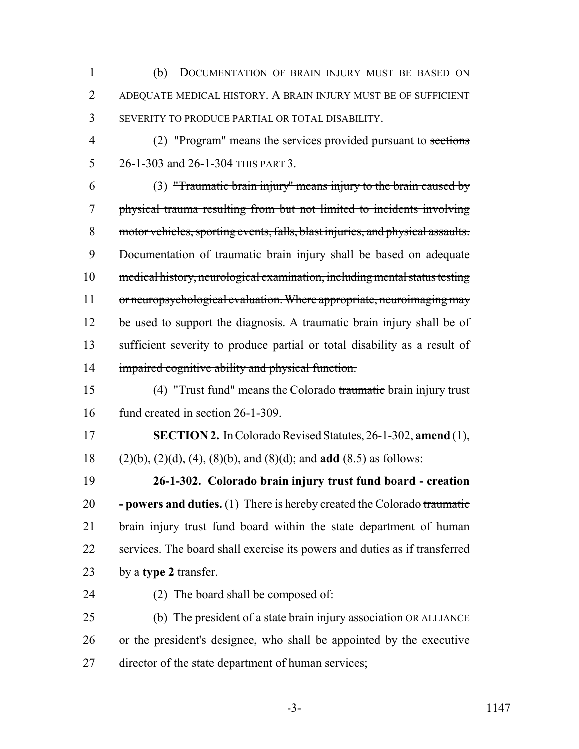(b) DOCUMENTATION OF BRAIN INJURY MUST BE BASED ON ADEQUATE MEDICAL HISTORY. A BRAIN INJURY MUST BE OF SUFFICIENT SEVERITY TO PRODUCE PARTIAL OR TOTAL DISABILITY.

 (2) "Program" means the services provided pursuant to sections 5 26-1-303 and 26-1-304 THIS PART 3.

 (3) "Traumatic brain injury" means injury to the brain caused by physical trauma resulting from but not limited to incidents involving motor vehicles, sporting events, falls, blast injuries, and physical assaults. Documentation of traumatic brain injury shall be based on adequate medical history, neurological examination, including mental status testing or neuropsychological evaluation. Where appropriate, neuroimaging may 12 be used to support the diagnosis. A traumatic brain injury shall be of sufficient severity to produce partial or total disability as a result of impaired cognitive ability and physical function.

 (4) "Trust fund" means the Colorado traumatic brain injury trust fund created in section 26-1-309.

 **SECTION 2.** In Colorado Revised Statutes, 26-1-302, **amend** (1), (2)(b), (2)(d), (4), (8)(b), and (8)(d); and **add** (8.5) as follows:

 **26-1-302. Colorado brain injury trust fund board - creation - powers and duties.** (1) There is hereby created the Colorado traumatic brain injury trust fund board within the state department of human services. The board shall exercise its powers and duties as if transferred by a **type 2** transfer.

(2) The board shall be composed of:

 (b) The president of a state brain injury association OR ALLIANCE or the president's designee, who shall be appointed by the executive director of the state department of human services;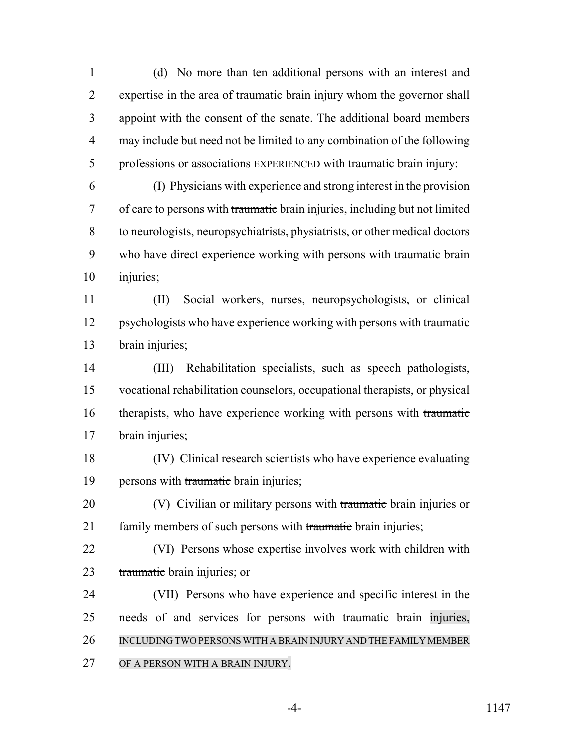(d) No more than ten additional persons with an interest and 2 expertise in the area of traumatic brain injury whom the governor shall appoint with the consent of the senate. The additional board members may include but need not be limited to any combination of the following 5 professions or associations EXPERIENCED with traumatic brain injury:

 (I) Physicians with experience and strong interest in the provision of care to persons with traumatic brain injuries, including but not limited to neurologists, neuropsychiatrists, physiatrists, or other medical doctors 9 who have direct experience working with persons with traumatic brain injuries;

 (II) Social workers, nurses, neuropsychologists, or clinical 12 psychologists who have experience working with persons with traumatic brain injuries;

 (III) Rehabilitation specialists, such as speech pathologists, vocational rehabilitation counselors, occupational therapists, or physical 16 therapists, who have experience working with persons with traumatic brain injuries;

- (IV) Clinical research scientists who have experience evaluating 19 persons with traumatic brain injuries;
- 20 (V) Civilian or military persons with traumatic brain injuries or 21 family members of such persons with traumatic brain injuries;
- (VI) Persons whose expertise involves work with children with 23 traumatic brain injuries; or
- (VII) Persons who have experience and specific interest in the needs of and services for persons with traumatic brain injuries, INCLUDING TWO PERSONS WITH A BRAIN INJURY AND THE FAMILY MEMBER OF A PERSON WITH A BRAIN INJURY.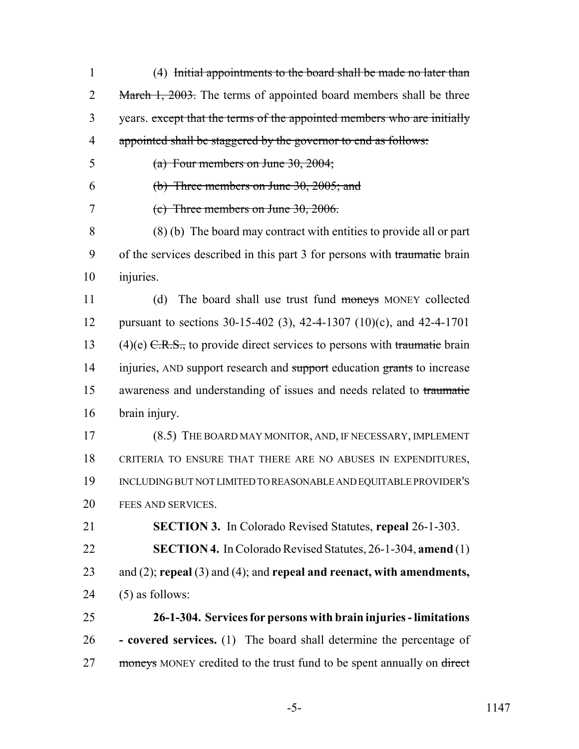| $\mathbf{1}$   | (4) Initial appointments to the board shall be made no later than             |
|----------------|-------------------------------------------------------------------------------|
| $\overline{2}$ | March 1, 2003. The terms of appointed board members shall be three            |
| 3              | years. except that the terms of the appointed members who are initially       |
| 4              | appointed shall be staggered by the governor to end as follows:               |
|                |                                                                               |
| 5              | (a) Four members on June $30, 2004$ ;                                         |
| 6              | (b) Three members on June $30, 2005$ ; and                                    |
| 7              | (c) Three members on June $30, 2006$ .                                        |
| 8              | $(8)$ (b) The board may contract with entities to provide all or part         |
| 9              | of the services described in this part 3 for persons with traumatic brain     |
| 10             | injuries.                                                                     |
| 11             | The board shall use trust fund moneys MONEY collected<br>(d)                  |
| 12             | pursuant to sections 30-15-402 (3), 42-4-1307 (10)(c), and 42-4-1701          |
| 13             | $(4)(e)$ C.R.S., to provide direct services to persons with traumatic brain   |
| 14             | injuries, AND support research and support education grants to increase       |
| 15             | awareness and understanding of issues and needs related to traumatic          |
| 16             | brain injury.                                                                 |
| 17             | (8.5) THE BOARD MAY MONITOR, AND, IF NECESSARY, IMPLEMENT                     |
| 18             | CRITERIA TO ENSURE THAT THERE ARE NO ABUSES IN EXPENDITURES,                  |
| 19             | INCLUDING BUT NOT LIMITED TO REASONABLE AND EQUITABLE PROVIDER'S              |
| 20             | FEES AND SERVICES.                                                            |
| 21             | <b>SECTION 3.</b> In Colorado Revised Statutes, repeal 26-1-303.              |
| 22             | <b>SECTION 4.</b> In Colorado Revised Statutes, 26-1-304, amend (1)           |
| 23             | and $(2)$ ; repeal $(3)$ and $(4)$ ; and repeal and reenact, with amendments, |
| 24             | $(5)$ as follows:                                                             |
| 25             | 26-1-304. Services for persons with brain injuries - limitations              |
| 26             | - covered services. (1) The board shall determine the percentage of           |
| 27             | moneys MONEY credited to the trust fund to be spent annually on direct        |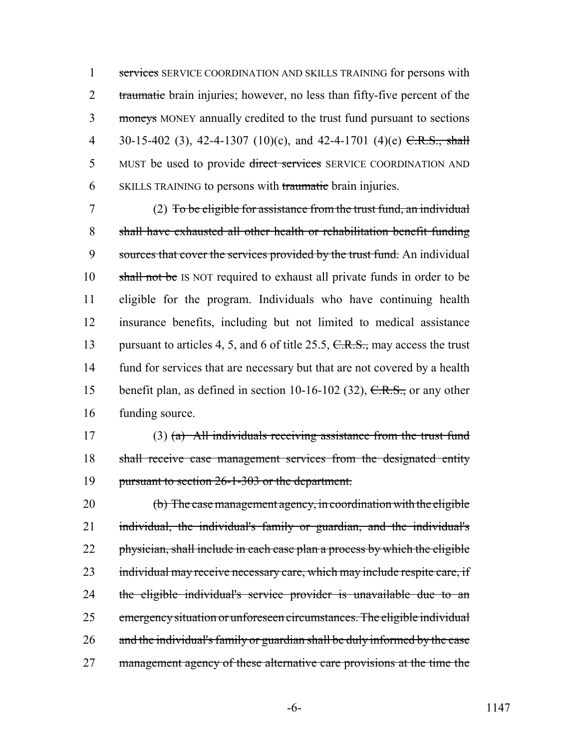1 services SERVICE COORDINATION AND SKILLS TRAINING for persons with 2 traumatic brain injuries; however, no less than fifty-five percent of the 3 moneys MONEY annually credited to the trust fund pursuant to sections 4 30-15-402 (3), 42-4-1307 (10)(c), and 42-4-1701 (4)(e)  $C.R.S., shall$ 5 MUST be used to provide direct services SERVICE COORDINATION AND 6 SKILLS TRAINING to persons with traumatic brain injuries.

7 (2) To be eligible for assistance from the trust fund, an individual 8 shall have exhausted all other health or rehabilitation benefit funding 9 sources that cover the services provided by the trust fund. An individual 10 shall not be IS NOT required to exhaust all private funds in order to be 11 eligible for the program. Individuals who have continuing health 12 insurance benefits, including but not limited to medical assistance 13 pursuant to articles 4, 5, and 6 of title 25.5, C.R.S., may access the trust 14 fund for services that are necessary but that are not covered by a health 15 benefit plan, as defined in section 10-16-102 (32),  $C.R.S.,$  or any other 16 funding source.

17 (3) (a) All individuals receiving assistance from the trust fund 18 shall receive case management services from the designated entity 19 pursuant to section 26-1-303 or the department.

20 (b) The case management agency, in coordination with the eligible 21 individual, the individual's family or guardian, and the individual's 22 physician, shall include in each case plan a process by which the eligible 23 individual may receive necessary care, which may include respite care, if 24 the eligible individual's service provider is unavailable due to an 25 emergency situation or unforeseen circumstances. The eligible individual 26 and the individual's family or guardian shall be duly informed by the case 27 management agency of these alternative care provisions at the time the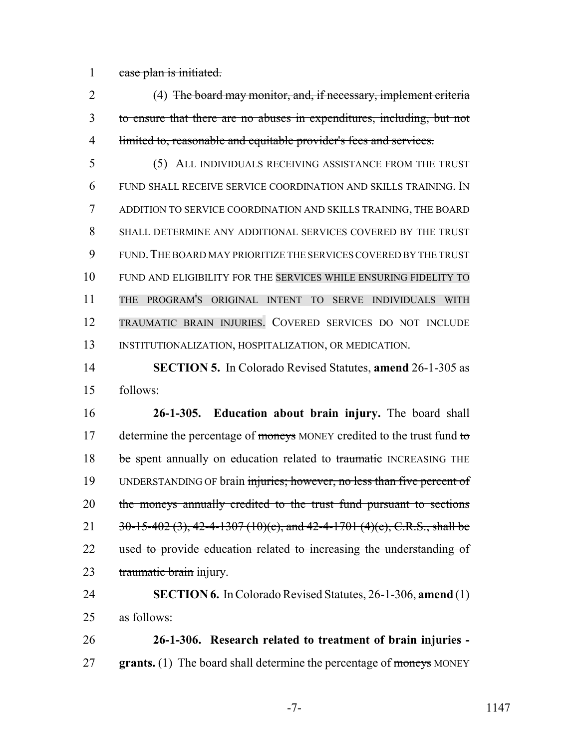1 case plan is initiated.

 (4) The board may monitor, and, if necessary, implement criteria to ensure that there are no abuses in expenditures, including, but not limited to, reasonable and equitable provider's fees and services.

 (5) ALL INDIVIDUALS RECEIVING ASSISTANCE FROM THE TRUST FUND SHALL RECEIVE SERVICE COORDINATION AND SKILLS TRAINING. IN ADDITION TO SERVICE COORDINATION AND SKILLS TRAINING, THE BOARD SHALL DETERMINE ANY ADDITIONAL SERVICES COVERED BY THE TRUST FUND.THE BOARD MAY PRIORITIZE THE SERVICES COVERED BY THE TRUST FUND AND ELIGIBILITY FOR THE SERVICES WHILE ENSURING FIDELITY TO THE PROGRAM'S ORIGINAL INTENT TO SERVE INDIVIDUALS WITH TRAUMATIC BRAIN INJURIES. COVERED SERVICES DO NOT INCLUDE INSTITUTIONALIZATION, HOSPITALIZATION, OR MEDICATION.

 **SECTION 5.** In Colorado Revised Statutes, **amend** 26-1-305 as follows:

 **26-1-305. Education about brain injury.** The board shall 17 determine the percentage of moneys MONEY credited to the trust fund to 18 be spent annually on education related to traumatic INCREASING THE 19 UNDERSTANDING OF brain injuries; however, no less than five percent of 20 the moneys annually credited to the trust fund pursuant to sections 21  $30-15-402(3)$ , 42-4-1307 (10)(c), and 42-4-1701 (4)(e), C.R.S., shall be 22 used to provide education related to increasing the understanding of 23 traumatic brain injury.

 **SECTION 6.** In Colorado Revised Statutes, 26-1-306, **amend** (1) as follows:

 **26-1-306. Research related to treatment of brain injuries - grants.** (1) The board shall determine the percentage of moneys MONEY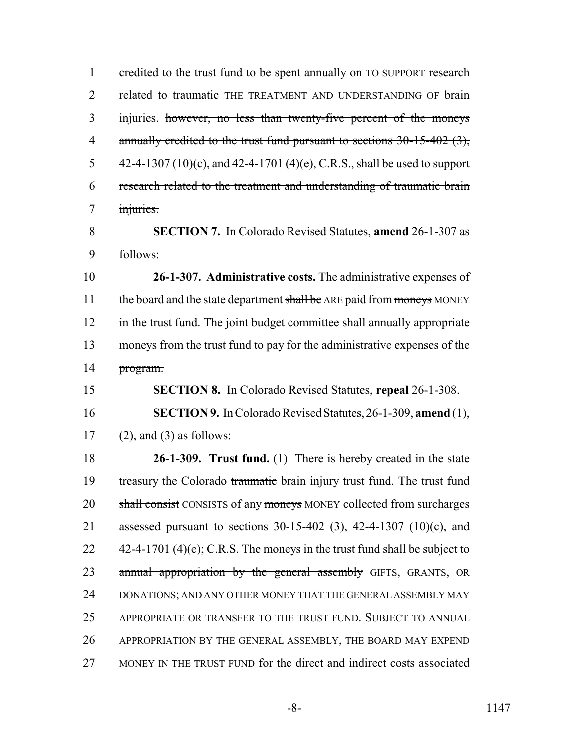1 credited to the trust fund to be spent annually on TO SUPPORT research 2 related to traumatic THE TREATMENT AND UNDERSTANDING OF brain 3 injuries. however, no less than twenty-five percent of the moneys 4 annually credited to the trust fund pursuant to sections 30-15-402 (3), 5  $42-4-1307(10)(c)$ , and  $42-4-1701(4)(e)$ , C.R.S., shall be used to support 6 research related to the treatment and understanding of traumatic brain 7 injuries.

8 **SECTION 7.** In Colorado Revised Statutes, **amend** 26-1-307 as 9 follows:

10 **26-1-307. Administrative costs.** The administrative expenses of 11 the board and the state department shall be ARE paid from moneys MONEY 12 in the trust fund. The joint budget committee shall annually appropriate 13 moneys from the trust fund to pay for the administrative expenses of the 14 program.

15 **SECTION 8.** In Colorado Revised Statutes, **repeal** 26-1-308. 16 **SECTION 9.** In Colorado Revised Statutes, 26-1-309, **amend** (1),

17 (2), and (3) as follows:

 **26-1-309. Trust fund.** (1) There is hereby created in the state 19 treasury the Colorado traumatic brain injury trust fund. The trust fund 20 shall consist CONSISTS of any moneys MONEY collected from surcharges assessed pursuant to sections 30-15-402 (3), 42-4-1307 (10)(c), and  $42-4-1701$  (4)(e); C.R.S. The moneys in the trust fund shall be subject to 23 annual appropriation by the general assembly GIFTS, GRANTS, OR DONATIONS; AND ANY OTHER MONEY THAT THE GENERAL ASSEMBLY MAY APPROPRIATE OR TRANSFER TO THE TRUST FUND. SUBJECT TO ANNUAL APPROPRIATION BY THE GENERAL ASSEMBLY, THE BOARD MAY EXPEND MONEY IN THE TRUST FUND for the direct and indirect costs associated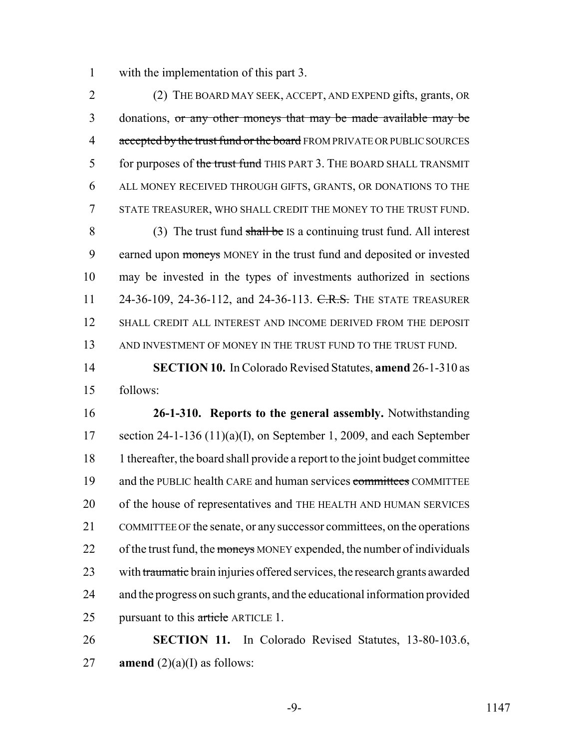1 with the implementation of this part 3.

2 (2) THE BOARD MAY SEEK, ACCEPT, AND EXPEND gifts, grants, OR 3 donations, or any other moneys that may be made available may be 4 accepted by the trust fund or the board FROM PRIVATE OR PUBLIC SOURCES 5 for purposes of the trust fund THIS PART 3. THE BOARD SHALL TRANSMIT 6 ALL MONEY RECEIVED THROUGH GIFTS, GRANTS, OR DONATIONS TO THE 7 STATE TREASURER, WHO SHALL CREDIT THE MONEY TO THE TRUST FUND. 8 (3) The trust fund shall be IS a continuing trust fund. All interest 9 earned upon moneys MONEY in the trust fund and deposited or invested 10 may be invested in the types of investments authorized in sections 11 24-36-109, 24-36-112, and 24-36-113. C.R.S. THE STATE TREASURER 12 SHALL CREDIT ALL INTEREST AND INCOME DERIVED FROM THE DEPOSIT 13 AND INVESTMENT OF MONEY IN THE TRUST FUND TO THE TRUST FUND.

14 **SECTION 10.** In Colorado Revised Statutes, **amend** 26-1-310 as 15 follows:

16 **26-1-310. Reports to the general assembly.** Notwithstanding 17 section 24-1-136 (11)(a)(I), on September 1, 2009, and each September 18 1 thereafter, the board shall provide a report to the joint budget committee 19 and the PUBLIC health CARE and human services committees COMMITTEE 20 of the house of representatives and THE HEALTH AND HUMAN SERVICES 21 COMMITTEE OF the senate, or any successor committees, on the operations 22 of the trust fund, the moneys MONEY expended, the number of individuals 23 with traumatic brain injuries offered services, the research grants awarded 24 and the progress on such grants, and the educational information provided 25 pursuant to this article ARTICLE 1.

26 **SECTION 11.** In Colorado Revised Statutes, 13-80-103.6, 27 **amend**  $(2)(a)(I)$  as follows:

-9- 1147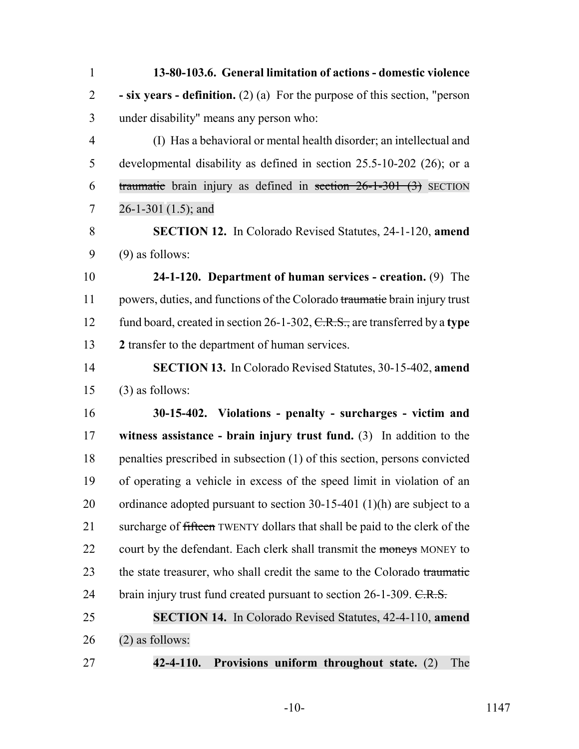| $\mathbf{1}$   | 13-80-103.6. General limitation of actions - domestic violence               |
|----------------|------------------------------------------------------------------------------|
| $\overline{2}$ | - six years - definition. (2) (a) For the purpose of this section, "person   |
| 3              | under disability" means any person who:                                      |
| $\overline{4}$ | (I) Has a behavioral or mental health disorder; an intellectual and          |
| 5              | developmental disability as defined in section $25.5$ -10-202 (26); or a     |
| 6              | traumatic brain injury as defined in section $26-1-301$ (3) SECTION          |
| 7              | $26-1-301(1.5)$ ; and                                                        |
| 8              | <b>SECTION 12.</b> In Colorado Revised Statutes, 24-1-120, amend             |
| 9              | $(9)$ as follows:                                                            |
| 10             | 24-1-120. Department of human services - creation. (9) The                   |
| 11             | powers, duties, and functions of the Colorado traumatic brain injury trust   |
| 12             | fund board, created in section 26-1-302, $C.R.S.,$ are transferred by a type |
| 13             | 2 transfer to the department of human services.                              |
| 14             | <b>SECTION 13.</b> In Colorado Revised Statutes, 30-15-402, amend            |
| 15             | $(3)$ as follows:                                                            |
| 16             | 30-15-402. Violations - penalty - surcharges - victim and                    |
| 17             | witness assistance - brain injury trust fund. $(3)$ In addition to the       |
| 18             | penalties prescribed in subsection (1) of this section, persons convicted    |
| 19             | of operating a vehicle in excess of the speed limit in violation of an       |
| 20             | ordinance adopted pursuant to section $30-15-401$ (1)(h) are subject to a    |
| 21             | surcharge of fifteen TWENTY dollars that shall be paid to the clerk of the   |
| 22             | court by the defendant. Each clerk shall transmit the moneys MONEY to        |
| 23             | the state treasurer, who shall credit the same to the Colorado traumatic     |
| 24             | brain injury trust fund created pursuant to section $26$ -1-309. $C.R.S.$    |
| 25             | <b>SECTION 14.</b> In Colorado Revised Statutes, 42-4-110, amend             |
| 26             | $(2)$ as follows:                                                            |
|                |                                                                              |

**42-4-110. Provisions uniform throughout state.** (2) The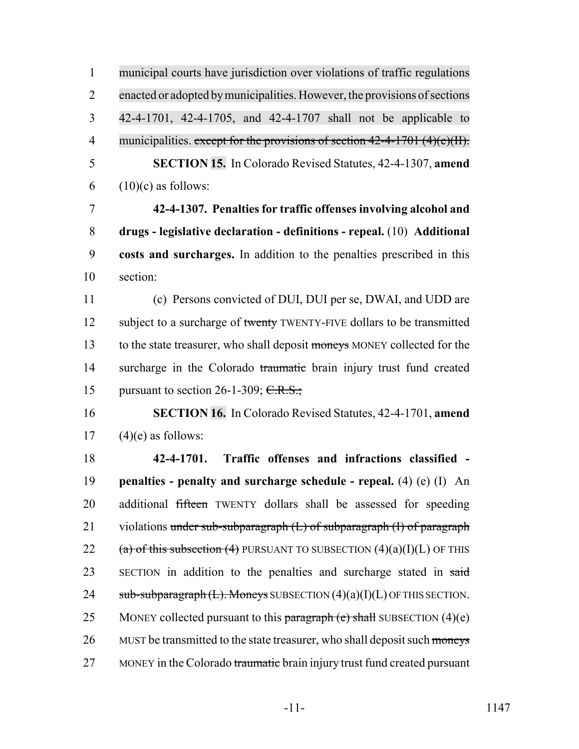| $\mathbf{1}$   | municipal courts have jurisdiction over violations of traffic regulations      |
|----------------|--------------------------------------------------------------------------------|
| $\overline{2}$ | enacted or adopted by municipalities. However, the provisions of sections      |
| 3              | 42-4-1701, 42-4-1705, and 42-4-1707 shall not be applicable to                 |
| $\overline{4}$ | municipalities. except for the provisions of section $42-4-1701$ $(4)(e)(H)$ . |
| 5              | <b>SECTION 15.</b> In Colorado Revised Statutes, 42-4-1307, amend              |
| 6              | $(10)(c)$ as follows:                                                          |
| $\overline{7}$ | 42-4-1307. Penalties for traffic offenses involving alcohol and                |
| 8              | drugs - legislative declaration - definitions - repeal. (10) Additional        |
| 9              | costs and surcharges. In addition to the penalties prescribed in this          |
| 10             | section:                                                                       |
| 11             | (c) Persons convicted of DUI, DUI per se, DWAI, and UDD are                    |
| 12             | subject to a surcharge of twenty TWENTY-FIVE dollars to be transmitted         |
| 13             | to the state treasurer, who shall deposit moneys MONEY collected for the       |
| 14             | surcharge in the Colorado traumatic brain injury trust fund created            |
| 15             | pursuant to section 26-1-309; $C.R.S.$ ;                                       |
| 16             | SECTION 16. In Colorado Revised Statutes, 42-4-1701, amend                     |
| 17             | $(4)(e)$ as follows:                                                           |
| 18             | Traffic offenses and infractions classified -<br>42-4-1701.                    |
| 19             | penalties - penalty and surcharge schedule - repeal. (4) (e) (I) An            |
| 20             | additional fifteen TWENTY dollars shall be assessed for speeding               |
| 21             | violations under sub-subparagraph $(L)$ of subparagraph $(I)$ of paragraph     |
| 22             | (a) of this subsection (4) PURSUANT TO SUBSECTION $(4)(a)(I)(L)$ OF THIS       |
| 23             | SECTION in addition to the penalties and surcharge stated in said              |
| 24             | sub-subparagraph $(L)$ . Moneys SUBSECTION $(4)(a)(I)(L)$ OF THIS SECTION.     |
| 25             | MONEY collected pursuant to this paragraph (e) shall SUBSECTION $(4)(e)$       |
| 26             | MUST be transmitted to the state treasurer, who shall deposit such moneys      |
| 27             | MONEY in the Colorado traumatic brain injury trust fund created pursuant       |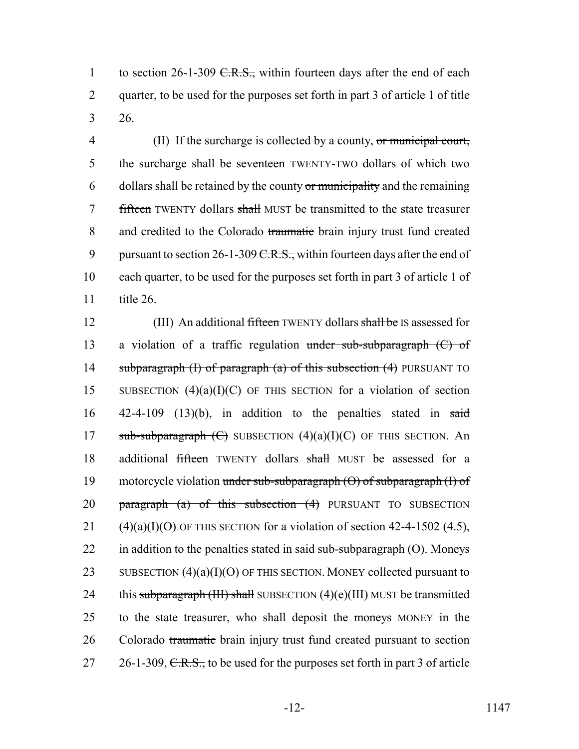1 to section  $26$ -1-309 <del>C.R.S.,</del> within fourteen days after the end of each 2 quarter, to be used for the purposes set forth in part 3 of article 1 of title 3 26.

4 (II) If the surcharge is collected by a county, or municipal court, 5 the surcharge shall be seventeen TWENTY-TWO dollars of which two 6 dollars shall be retained by the county or municipality and the remaining 7 fifteen TWENTY dollars shall MUST be transmitted to the state treasurer 8 and credited to the Colorado traumatic brain injury trust fund created 9 pursuant to section 26-1-309  $C.R.S.,$  within fourteen days after the end of 10 each quarter, to be used for the purposes set forth in part 3 of article 1 of 11 title 26.

12 (III) An additional fifteen TWENTY dollars shall be IS assessed for 13 a violation of a traffic regulation under sub-subparagraph (C) of 14 subparagraph (I) of paragraph (a) of this subsection (4) PURSUANT TO 15 SUBSECTION  $(4)(a)(I)(C)$  OF THIS SECTION for a violation of section 16  $42-4-109$  (13)(b), in addition to the penalties stated in said 17 sub-subparagraph  $\left(\frac{C}{C}\right)$  SUBSECTION  $(4)(a)(I)(C)$  OF THIS SECTION. An 18 additional fifteen TWENTY dollars shall MUST be assessed for a 19 motorcycle violation under sub-subparagraph  $(\theta)$  of subparagraph  $(I)$  of 20 **paragraph** (a) of this subsection  $(4)$  PURSUANT TO SUBSECTION 21 (4)(a)(I)(O) OF THIS SECTION for a violation of section 42-4-1502 (4.5), 22 in addition to the penalties stated in said sub-subparagraph  $(\Theta)$ . Moneys 23 SUBSECTION  $(4)(a)(I)(O)$  OF THIS SECTION. MONEY collected pursuant to 24 this subparagraph (III) shall SUBSECTION  $(4)(e)$ (III) MUST be transmitted 25 to the state treasurer, who shall deposit the moneys MONEY in the 26 Colorado traumatic brain injury trust fund created pursuant to section 27 26-1-309, C.R.S., to be used for the purposes set forth in part 3 of article